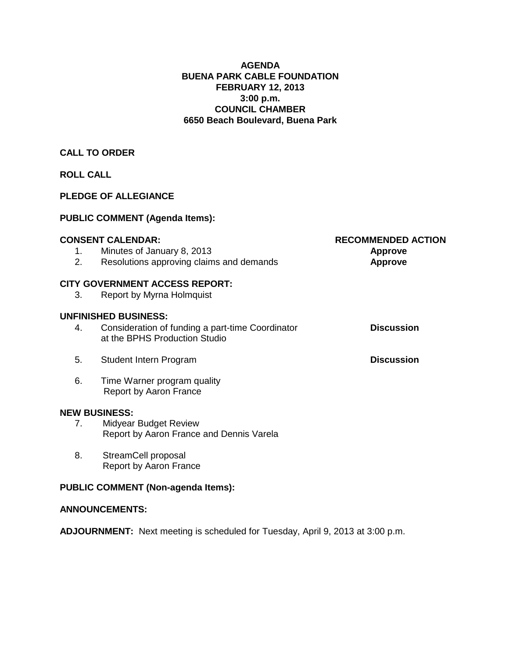# **AGENDA BUENA PARK CABLE FOUNDATION FEBRUARY 12, 2013 3:00 p.m. COUNCIL CHAMBER 6650 Beach Boulevard, Buena Park**

# **CALL TO ORDER**

# **ROLL CALL**

# **PLEDGE OF ALLEGIANCE**

# **PUBLIC COMMENT (Agenda Items):**

|    | <b>CONSENT CALENDAR:</b>                                                          | <b>RECOMMENDED ACTION</b> |  |  |  |
|----|-----------------------------------------------------------------------------------|---------------------------|--|--|--|
| 1. | Minutes of January 8, 2013                                                        | <b>Approve</b>            |  |  |  |
| 2. | Resolutions approving claims and demands                                          | <b>Approve</b>            |  |  |  |
|    | <b>CITY GOVERNMENT ACCESS REPORT:</b>                                             |                           |  |  |  |
| 3. | Report by Myrna Holmquist                                                         |                           |  |  |  |
|    | <b>UNFINISHED BUSINESS:</b>                                                       |                           |  |  |  |
| 4. | Consideration of funding a part-time Coordinator<br>at the BPHS Production Studio | <b>Discussion</b>         |  |  |  |
| 5. | Student Intern Program                                                            | <b>Discussion</b>         |  |  |  |
| 6. | Time Warner program quality<br>Report by Aaron France                             |                           |  |  |  |
|    | <b>NEW BUSINESS:</b>                                                              |                           |  |  |  |
| 7. | <b>Midyear Budget Review</b><br>Report by Aaron France and Dennis Varela          |                           |  |  |  |
| 8. | StreamCell proposal<br>Report by Aaron France                                     |                           |  |  |  |

# **PUBLIC COMMENT (Non-agenda Items):**

## **ANNOUNCEMENTS:**

**ADJOURNMENT:** Next meeting is scheduled for Tuesday, April 9, 2013 at 3:00 p.m.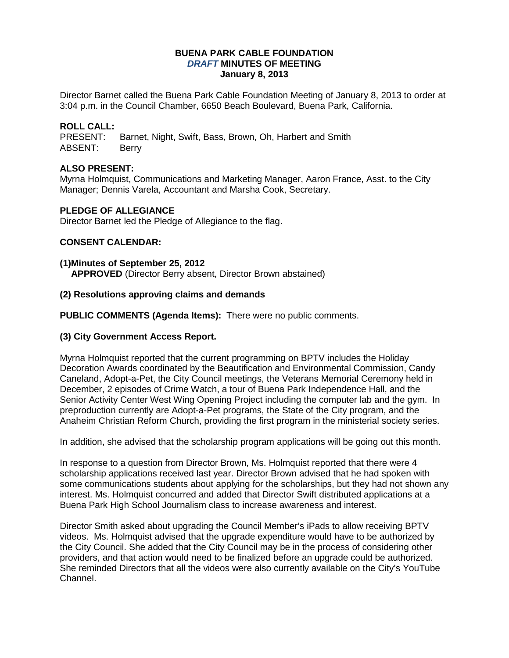#### **BUENA PARK CABLE FOUNDATION** *DRAFT* **MINUTES OF MEETING January 8, 2013**

Director Barnet called the Buena Park Cable Foundation Meeting of January 8, 2013 to order at 3:04 p.m. in the Council Chamber, 6650 Beach Boulevard, Buena Park, California.

# **ROLL CALL:**

Barnet, Night, Swift, Bass, Brown, Oh, Harbert and Smith ABSENT: Berry

## **ALSO PRESENT:**

Myrna Holmquist, Communications and Marketing Manager, Aaron France, Asst. to the City Manager; Dennis Varela, Accountant and Marsha Cook, Secretary.

#### **PLEDGE OF ALLEGIANCE**

Director Barnet led the Pledge of Allegiance to the flag.

## **CONSENT CALENDAR:**

#### **(1)Minutes of September 25, 2012**

**APPROVED** (Director Berry absent, Director Brown abstained)

#### **(2) Resolutions approving claims and demands**

**PUBLIC COMMENTS (Agenda Items):** There were no public comments.

#### **(3) City Government Access Report.**

Myrna Holmquist reported that the current programming on BPTV includes the Holiday Decoration Awards coordinated by the Beautification and Environmental Commission, Candy Caneland, Adopt-a-Pet, the City Council meetings, the Veterans Memorial Ceremony held in December, 2 episodes of Crime Watch, a tour of Buena Park Independence Hall, and the Senior Activity Center West Wing Opening Project including the computer lab and the gym. In preproduction currently are Adopt-a-Pet programs, the State of the City program, and the Anaheim Christian Reform Church, providing the first program in the ministerial society series.

In addition, she advised that the scholarship program applications will be going out this month.

In response to a question from Director Brown, Ms. Holmquist reported that there were 4 scholarship applications received last year. Director Brown advised that he had spoken with some communications students about applying for the scholarships, but they had not shown any interest. Ms. Holmquist concurred and added that Director Swift distributed applications at a Buena Park High School Journalism class to increase awareness and interest.

Director Smith asked about upgrading the Council Member's iPads to allow receiving BPTV videos. Ms. Holmquist advised that the upgrade expenditure would have to be authorized by the City Council. She added that the City Council may be in the process of considering other providers, and that action would need to be finalized before an upgrade could be authorized. She reminded Directors that all the videos were also currently available on the City's YouTube Channel.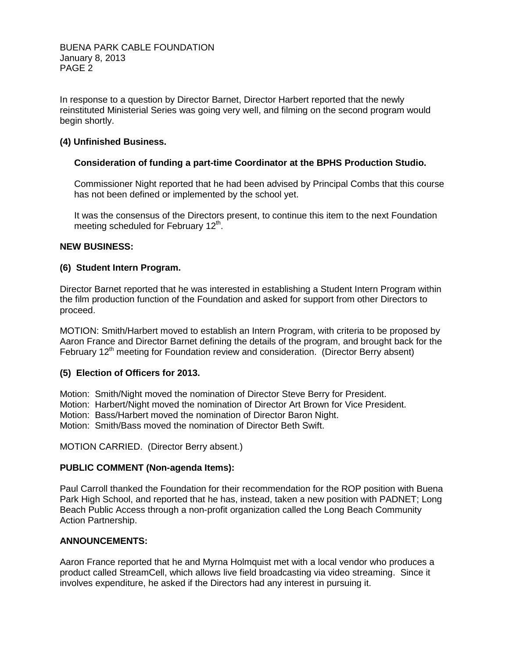BUENA PARK CABLE FOUNDATION January 8, 2013 PAGE 2

In response to a question by Director Barnet, Director Harbert reported that the newly reinstituted Ministerial Series was going very well, and filming on the second program would begin shortly.

# **(4) Unfinished Business.**

#### **Consideration of funding a part-time Coordinator at the BPHS Production Studio.**

Commissioner Night reported that he had been advised by Principal Combs that this course has not been defined or implemented by the school yet.

It was the consensus of the Directors present, to continue this item to the next Foundation meeting scheduled for February  $12<sup>th</sup>$ .

## **NEW BUSINESS:**

#### **(6) Student Intern Program.**

Director Barnet reported that he was interested in establishing a Student Intern Program within the film production function of the Foundation and asked for support from other Directors to proceed.

MOTION: Smith/Harbert moved to establish an Intern Program, with criteria to be proposed by Aaron France and Director Barnet defining the details of the program, and brought back for the February 12<sup>th</sup> meeting for Foundation review and consideration. (Director Berry absent)

#### **(5) Election of Officers for 2013.**

Motion: Smith/Night moved the nomination of Director Steve Berry for President. Motion: Harbert/Night moved the nomination of Director Art Brown for Vice President. Motion: Bass/Harbert moved the nomination of Director Baron Night. Motion: Smith/Bass moved the nomination of Director Beth Swift.

MOTION CARRIED. (Director Berry absent.)

#### **PUBLIC COMMENT (Non-agenda Items):**

Paul Carroll thanked the Foundation for their recommendation for the ROP position with Buena Park High School, and reported that he has, instead, taken a new position with PADNET; Long Beach Public Access through a non-profit organization called the Long Beach Community Action Partnership.

#### **ANNOUNCEMENTS:**

Aaron France reported that he and Myrna Holmquist met with a local vendor who produces a product called StreamCell, which allows live field broadcasting via video streaming. Since it involves expenditure, he asked if the Directors had any interest in pursuing it.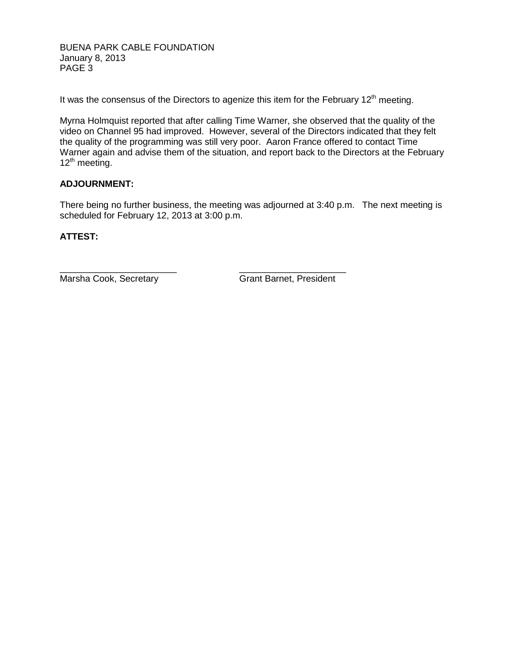BUENA PARK CABLE FOUNDATION January 8, 2013 PAGE 3

It was the consensus of the Directors to agenize this item for the February  $12<sup>th</sup>$  meeting.

Myrna Holmquist reported that after calling Time Warner, she observed that the quality of the video on Channel 95 had improved. However, several of the Directors indicated that they felt the quality of the programming was still very poor. Aaron France offered to contact Time Warner again and advise them of the situation, and report back to the Directors at the February 12<sup>th</sup> meeting.

## **ADJOURNMENT:**

There being no further business, the meeting was adjourned at 3:40 p.m. The next meeting is scheduled for February 12, 2013 at 3:00 p.m.

## **ATTEST:**

Marsha Cook, Secretary Grant Barnet, President

\_\_\_\_\_\_\_\_\_\_\_\_\_\_\_\_\_\_\_\_\_\_\_ \_\_\_\_\_\_\_\_\_\_\_\_\_\_\_\_\_\_\_\_\_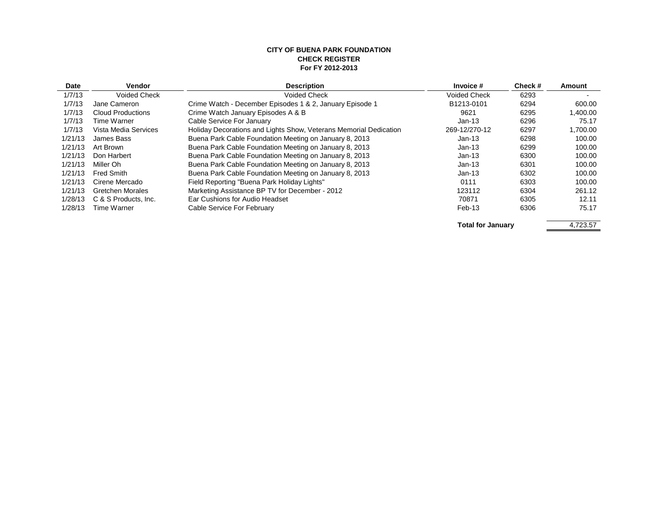#### **CITY OF BUENA PARK FOUNDATION CHECK REGISTER For FY 2012-2013**

| Date                     | <b>Vendor</b>            | <b>Description</b>                                                | Invoice #           | Check# | Amount   |  |
|--------------------------|--------------------------|-------------------------------------------------------------------|---------------------|--------|----------|--|
| 1/7/13                   | <b>Voided Check</b>      | <b>Voided Check</b>                                               | <b>Voided Check</b> | 6293   |          |  |
| 1/7/13                   | Jane Cameron             | Crime Watch - December Episodes 1 & 2, January Episode 1          | B1213-0101          | 6294   | 600.00   |  |
| 1/7/13                   | <b>Cloud Productions</b> | Crime Watch January Episodes A & B                                | 9621                | 6295   | 1,400.00 |  |
| 1/7/13                   | Time Warner              | Cable Service For January                                         | $Jan-13$            | 6296   | 75.17    |  |
| 1/7/13                   | Vista Media Services     | Holiday Decorations and Lights Show, Veterans Memorial Dedication | 269-12/270-12       | 6297   | 1,700.00 |  |
| 1/21/13                  | James Bass               | Buena Park Cable Foundation Meeting on January 8, 2013            | Jan-13              | 6298   | 100.00   |  |
| 1/21/13                  | Art Brown                | Buena Park Cable Foundation Meeting on January 8, 2013            | $Jan-13$            | 6299   | 100.00   |  |
| 1/21/13                  | Don Harbert              | Buena Park Cable Foundation Meeting on January 8, 2013            | $Jan-13$            | 6300   | 100.00   |  |
| 1/21/13                  | Miller Oh                | Buena Park Cable Foundation Meeting on January 8, 2013            | $Jan-13$            | 6301   | 100.00   |  |
| 1/21/13                  | <b>Fred Smith</b>        | Buena Park Cable Foundation Meeting on January 8, 2013            | $Jan-13$            | 6302   | 100.00   |  |
| 1/21/13                  | Cirene Mercado           | Field Reporting "Buena Park Holiday Lights"                       | 0111                | 6303   | 100.00   |  |
| 1/21/13                  | Gretchen Morales         | Marketing Assistance BP TV for December - 2012                    | 123112              | 6304   | 261.12   |  |
| 1/28/13                  | C & S Products, Inc.     | Ear Cushions for Audio Headset                                    | 70871               | 6305   | 12.11    |  |
| 1/28/13                  | Time Warner              | Cable Service For February                                        | Feb-13              | 6306   | 75.17    |  |
| <b>Total for January</b> |                          |                                                                   | 4,723.57            |        |          |  |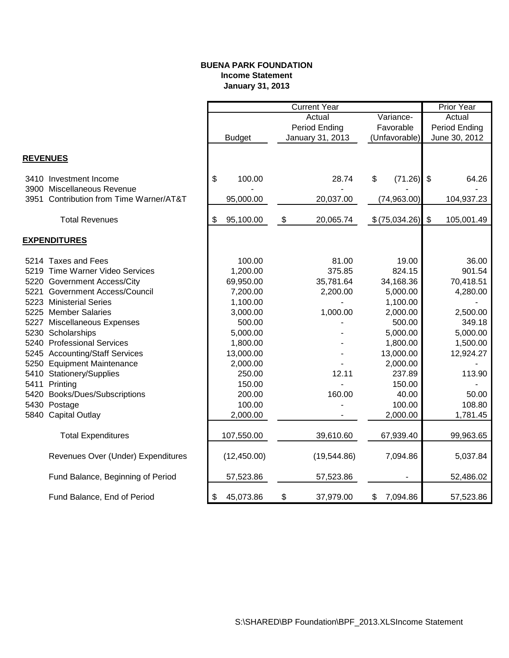# **BUENA PARK FOUNDATION Income Statement January 31, 2013**

|                 |                                         | <b>Current Year</b> |               |    |                  | <b>Prior Year</b> |               |                         |            |
|-----------------|-----------------------------------------|---------------------|---------------|----|------------------|-------------------|---------------|-------------------------|------------|
|                 |                                         | Actual<br>Variance- |               |    | Actual           |                   |               |                         |            |
|                 |                                         |                     |               |    | Period Ending    | Favorable         |               | Period Ending           |            |
|                 |                                         |                     | <b>Budget</b> |    | January 31, 2013 | (Unfavorable)     |               | June 30, 2012           |            |
|                 |                                         |                     |               |    |                  |                   |               |                         |            |
| <b>REVENUES</b> |                                         |                     |               |    |                  |                   |               |                         |            |
|                 | 3410 Investment Income                  | \$                  | 100.00        |    | 28.74            | \$                | (71.26)       | -\$                     | 64.26      |
|                 | 3900 Miscellaneous Revenue              |                     |               |    |                  |                   |               |                         |            |
|                 | 3951 Contribution from Time Warner/AT&T |                     | 95,000.00     |    | 20,037.00        |                   | (74, 963.00)  |                         | 104,937.23 |
|                 | <b>Total Revenues</b>                   | \$                  | 95,100.00     | \$ | 20,065.74        |                   | \$(75,034.26) | $\sqrt[6]{\frac{1}{2}}$ | 105,001.49 |
|                 |                                         |                     |               |    |                  |                   |               |                         |            |
|                 | <b>EXPENDITURES</b>                     |                     |               |    |                  |                   |               |                         |            |
|                 | 5214 Taxes and Fees                     |                     | 100.00        |    | 81.00            |                   | 19.00         |                         | 36.00      |
|                 | 5219 Time Warner Video Services         |                     | 1,200.00      |    | 375.85           |                   | 824.15        |                         | 901.54     |
|                 | 5220 Government Access/City             |                     | 69,950.00     |    | 35,781.64        |                   | 34,168.36     |                         | 70,418.51  |
| 5221            | <b>Government Access/Council</b>        |                     | 7,200.00      |    | 2,200.00         |                   | 5,000.00      |                         | 4,280.00   |
|                 | 5223 Ministerial Series                 |                     | 1,100.00      |    |                  |                   | 1,100.00      |                         |            |
|                 | 5225 Member Salaries                    |                     | 3,000.00      |    | 1,000.00         |                   | 2,000.00      |                         | 2,500.00   |
|                 | 5227 Miscellaneous Expenses             |                     | 500.00        |    |                  |                   | 500.00        |                         | 349.18     |
|                 | 5230 Scholarships                       |                     | 5,000.00      |    |                  |                   | 5,000.00      |                         | 5,000.00   |
|                 | 5240 Professional Services              |                     | 1,800.00      |    |                  |                   | 1,800.00      |                         | 1,500.00   |
|                 | 5245 Accounting/Staff Services          |                     | 13,000.00     |    |                  |                   | 13,000.00     |                         | 12,924.27  |
|                 | 5250 Equipment Maintenance              |                     | 2,000.00      |    |                  |                   | 2,000.00      |                         |            |
|                 | 5410 Stationery/Supplies                |                     | 250.00        |    | 12.11            |                   | 237.89        |                         | 113.90     |
|                 | 5411 Printing                           |                     | 150.00        |    |                  |                   | 150.00        |                         |            |
|                 | 5420 Books/Dues/Subscriptions           |                     | 200.00        |    | 160.00           |                   | 40.00         |                         | 50.00      |
|                 | 5430 Postage                            |                     | 100.00        |    |                  |                   | 100.00        |                         | 108.80     |
|                 | 5840 Capital Outlay                     |                     | 2,000.00      |    |                  |                   | 2,000.00      |                         | 1,781.45   |
|                 | <b>Total Expenditures</b>               |                     | 107,550.00    |    | 39,610.60        |                   | 67,939.40     |                         | 99,963.65  |
|                 |                                         |                     |               |    |                  |                   |               |                         |            |
|                 | Revenues Over (Under) Expenditures      |                     | (12, 450.00)  |    | (19, 544.86)     |                   | 7,094.86      |                         | 5,037.84   |
|                 | Fund Balance, Beginning of Period       |                     | 57,523.86     |    | 57,523.86        |                   | ۰             |                         | 52,486.02  |
|                 | Fund Balance, End of Period             | \$                  | 45,073.86     | \$ | 37,979.00        | \$                | 7,094.86      |                         | 57,523.86  |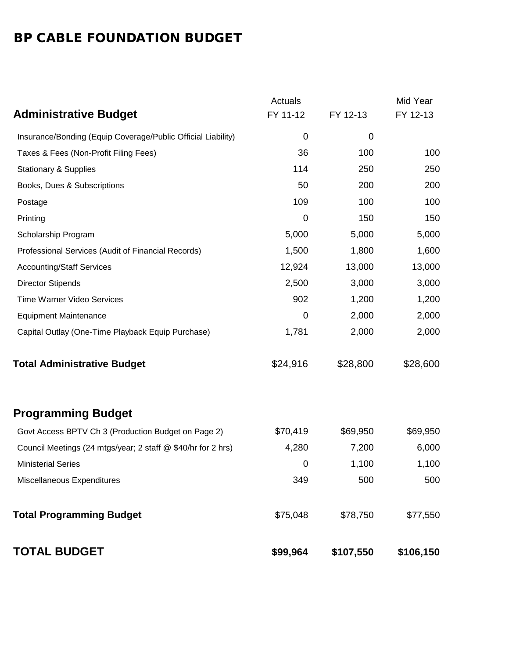# BP CABLE FOUNDATION BUDGET

|                                                              | Actuals  |             | Mid Year  |
|--------------------------------------------------------------|----------|-------------|-----------|
| <b>Administrative Budget</b>                                 | FY 11-12 | FY 12-13    | FY 12-13  |
| Insurance/Bonding (Equip Coverage/Public Official Liability) | 0        | $\mathbf 0$ |           |
| Taxes & Fees (Non-Profit Filing Fees)                        | 36       | 100         | 100       |
| <b>Stationary &amp; Supplies</b>                             | 114      | 250         | 250       |
| Books, Dues & Subscriptions                                  | 50       | 200         | 200       |
| Postage                                                      | 109      | 100         | 100       |
| Printing                                                     | 0        | 150         | 150       |
| Scholarship Program                                          | 5,000    | 5,000       | 5,000     |
| Professional Services (Audit of Financial Records)           | 1,500    | 1,800       | 1,600     |
| <b>Accounting/Staff Services</b>                             | 12,924   | 13,000      | 13,000    |
| <b>Director Stipends</b>                                     | 2,500    | 3,000       | 3,000     |
| Time Warner Video Services                                   | 902      | 1,200       | 1,200     |
| <b>Equipment Maintenance</b>                                 | 0        | 2,000       | 2,000     |
| Capital Outlay (One-Time Playback Equip Purchase)            | 1,781    | 2,000       | 2,000     |
| <b>Total Administrative Budget</b>                           | \$24,916 | \$28,800    | \$28,600  |
| <b>Programming Budget</b>                                    |          |             |           |
| Govt Access BPTV Ch 3 (Production Budget on Page 2)          | \$70,419 | \$69,950    | \$69,950  |
| Council Meetings (24 mtgs/year; 2 staff @ \$40/hr for 2 hrs) | 4,280    | 7,200       | 6,000     |
| <b>Ministerial Series</b>                                    | 0        | 1,100       | 1,100     |
| Miscellaneous Expenditures                                   | 349      | 500         | 500       |
| <b>Total Programming Budget</b>                              | \$75,048 | \$78,750    | \$77,550  |
| <b>TOTAL BUDGET</b>                                          | \$99,964 | \$107,550   | \$106,150 |